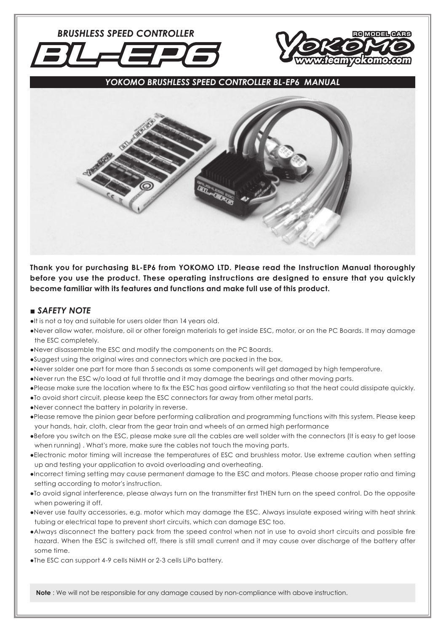**BRUSHLESS SPEED CONTROLLER** 



*YOKOMO BRUSHLESS SPEED CONTROLLER BL-EP6 MANUAL*



**Thank you for purchasing BL-EP6 from YOKOMO LTD. Please read the Instruction Manual thoroughly before you use the product. These operating instructions are designed to ensure that you quickly become familiar with its features and functions and make full use of this product.**

### *■ SAFETY NOTE*

/21L

●It is not a toy and suitable for users older than 14 years old.

- ●Never allow water, moisture, oil or other foreign materials to get inside ESC, motor, or on the PC Boards. It may damage the ESC completely.
- ●Never disassemble the ESC and modify the components on the PC Boards.
- ●Suggest using the original wires and connectors which are packed in the box.
- ●Never solder one part for more than 5 seconds as some components will get damaged by high temperature.
- ●Never run the ESC w/o load at full throttle and it may damage the bearings and other moving parts.
- •Please make sure the location where to fix the ESC has good airflow ventilating so that the heat could dissipate quickly.
- ●To avoid short circuit, please keep the ESC connectors far away from other metal parts.
- ●Never connect the battery in polarity in reverse.
- ●Please remove the pinion gear before performing calibration and programming functions with this system. Please keep your hands, hair, cloth, clear from the gear train and wheels of an armed high performance
- ●Before you switch on the ESC, please make sure all the cables are well solder with the connectors (It is easy to get loose when running) . What's more, make sure the cables not touch the moving parts.
- ●Electronic motor timing will increase the temperatures of ESC and brushless motor. Use extreme caution when setting up and testing your application to avoid overloading and overheating.
- ●Incorrect timing setting may cause permanent damage to the ESC and motors. Please choose proper ratio and timing setting according to motor's instruction.
- •To avoid signal interference, please always turn on the transmitter first THEN turn on the speed control. Do the opposite when powering it off.
- ●Never use faulty accessories, e.g. motor which may damage the ESC. Always insulate exposed wiring with heat shrink tubing or electrical tape to prevent short circuits, which can damage ESC too.
- •Always disconnect the battery pack from the speed control when not in use to avoid short circuits and possible fire hazard. When the ESC is switched off, there is still small current and it may cause over discharge of the battery after some time.
- ●The ESC can support 4-9 cells NiMH or 2-3 cells LiPo battery.

**Note** : We will not be responsible for any damage caused by non-compliance with above instruction.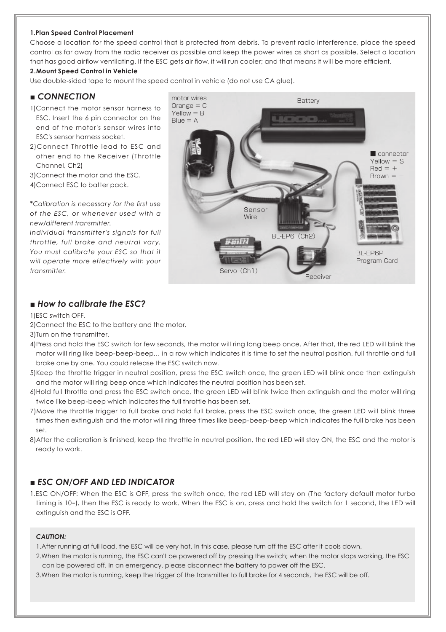#### **1.Plan Speed Control Placement**

Choose a location for the speed control that is protected from debris. To prevent radio interference, place the speed control as far away from the radio receiver as possible and keep the power wires as short as possible. Select a location that has good airflow ventilating. If the ESC gets air flow, it will run cooler; and that means it will be more efficient.

### **2.Mount Speed Control in Vehicle**

Use double-sided tape to mount the speed control in vehicle (do not use CA glue).

### *■ CONNECTION*

- 1)Connect the motor sensor harness to ESC. Insert the 6 pin connector on the end of the motor's sensor wires into ESC's sensor harness socket.
- 2)Connect Throttle lead to ESC and other end to the Receiver (Throttle Channel, Ch2)

3)Connect the motor and the ESC. 4)Connect ESC to batter pack.

\**Calibration is necessary for the fi rst use of the ESC, or whenever used with a new/different transmitter.*

*Individual transmitter's signals for full throttle, full brake and neutral vary. You must calibrate your ESC so that it will operate more effectively with your transmitter.* Servo (Ch1)



# *■ How to calibrate the ESC?*

1)ESC switch OFF.

2)Connect the ESC to the battery and the motor.

3)Turn on the transmitter.

- 4)Press and hold the ESC switch for few seconds, the motor will ring long beep once. After that, the red LED will blink the motor will ring like beep-beep-beep… in a row which indicates it is time to set the neutral position, full throttle and full brake one by one. You could release the ESC switch now.
- 5)Keep the throttle trigger in neutral position, press the ESC switch once, the green LED will blink once then extinguish and the motor will ring beep once which indicates the neutral position has been set.
- 6)Hold full throttle and press the ESC switch once, the green LED will blink twice then extinguish and the motor will ring twice like beep-beep which indicates the full throttle has been set.
- 7)Move the throttle trigger to full brake and hold full brake, press the ESC switch once, the green LED will blink three times then extinguish and the motor will ring three times like beep-beep-beep which indicates the full brake has been set.
- 8)After the calibration is finished, keep the throttle in neutral position, the red LED will stay ON, the ESC and the motor is ready to work.

## *■ ESC ON/OFF AND LED INDICATOR*

1.ESC ON/OFF: When the ESC is OFF, press the switch once, the red LED will stay on (The factory default motor turbo timing is 10ー), then the ESC is ready to work. When the ESC is on, press and hold the switch for 1 second, the LED will extinguish and the ESC is OFF.

#### *CAUTION:*

1.After running at full load, the ESC will be very hot. In this case, please turn off the ESC after it cools down.

- 2.When the motor is running, the ESC can't be powered off by pressing the switch; when the motor stops working, the ESC can be powered off. In an emergency, please disconnect the battery to power off the ESC.
- 3.When the motor is running, keep the trigger of the transmitter to full brake for 4 seconds, the ESC will be off.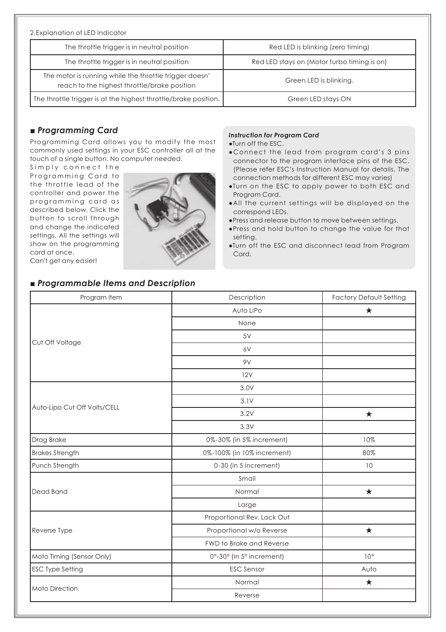| 2. Explanation of LED Indicator                                                                        |                                             |  |
|--------------------------------------------------------------------------------------------------------|---------------------------------------------|--|
| The throttle trigger is in neutral position                                                            | Red LED is blinking (zero fiming)           |  |
| The throttle trigger is in neutral position                                                            | Red LED stays on (Motor turbo timing is on) |  |
| The motor is running while the throttle trigger doesn'<br>reach to the highest throttle/brake position | Green LED is blinking.                      |  |
| The throttle trigger is at the highest throttle/brake position.                                        | Green LED stays ON                          |  |

# *■ Programming Card*

Programming Card allows you to modify the most commonly used settings in your ESC controller all at the touch of a single button. No computer needed.

Simply connect the Programming Card to the throttle lead of the controller and power the programming card as described below. Click the button to scroll through and change the indicated settings. All the settings will show on the programming card at once.



#### *Instruction for Program Card*

●Turn off the ESC.

- Connect the lead from program card's 3 pins connector to the program interface pins of the ESC. (Please refer ESC's Instruction Manual for details. The connection methods for different ESC may varies)
- ●Turn on the ESC to apply power to both ESC and Program Card.
- ●All the current settings will be displayed on the correspond LEDs.
- ●Press and release button to move between settings.
- ●Press and hold button to change the value for that setting.
- ●Turn off the ESC and disconnect lead from Program Card.

Can't get any easier!

# *■ Programmable Items and Description*

| Program Item                 | Description                | <b>Factory Default Setting</b> |
|------------------------------|----------------------------|--------------------------------|
| Cut Off Voltage              | Auto LiPo                  | $\star$                        |
|                              | None                       |                                |
|                              | 5V                         |                                |
|                              | 6V                         |                                |
|                              | 9V                         |                                |
|                              | 12V                        |                                |
| Auto-Lipo Cut Off Volts/CELL | 3.0V                       |                                |
|                              | 3.1V                       |                                |
|                              | 3.2V                       | $\star$                        |
|                              | 3.3V                       |                                |
| Drag Brake                   | 0%-30% (in 5% increment)   | 10%                            |
| <b>Brakes Strength</b>       | 0%-100% (in 10% increment) | 80%                            |
| Punch Strength               | 0-30 (in 5 increment)      | 10                             |
| Dead Band                    | Small                      |                                |
|                              | Normal                     | $\star$                        |
|                              | Large                      |                                |
| Reverse Type                 | Proportional Rev. Lock Out |                                |
|                              | Proportional w/o Reverse   | $\star$                        |
|                              | FWD to Brake and Reverse   |                                |
| Moto Timing (Sensor Only)    | 0°-30° (in 5° increment)   | $10^{\circ}$                   |
| <b>ESC Type Setting</b>      | <b>ESC Sensor</b>          | Auto                           |
| Moto Direction               | Normal                     | $\star$                        |
|                              | Reverse                    |                                |